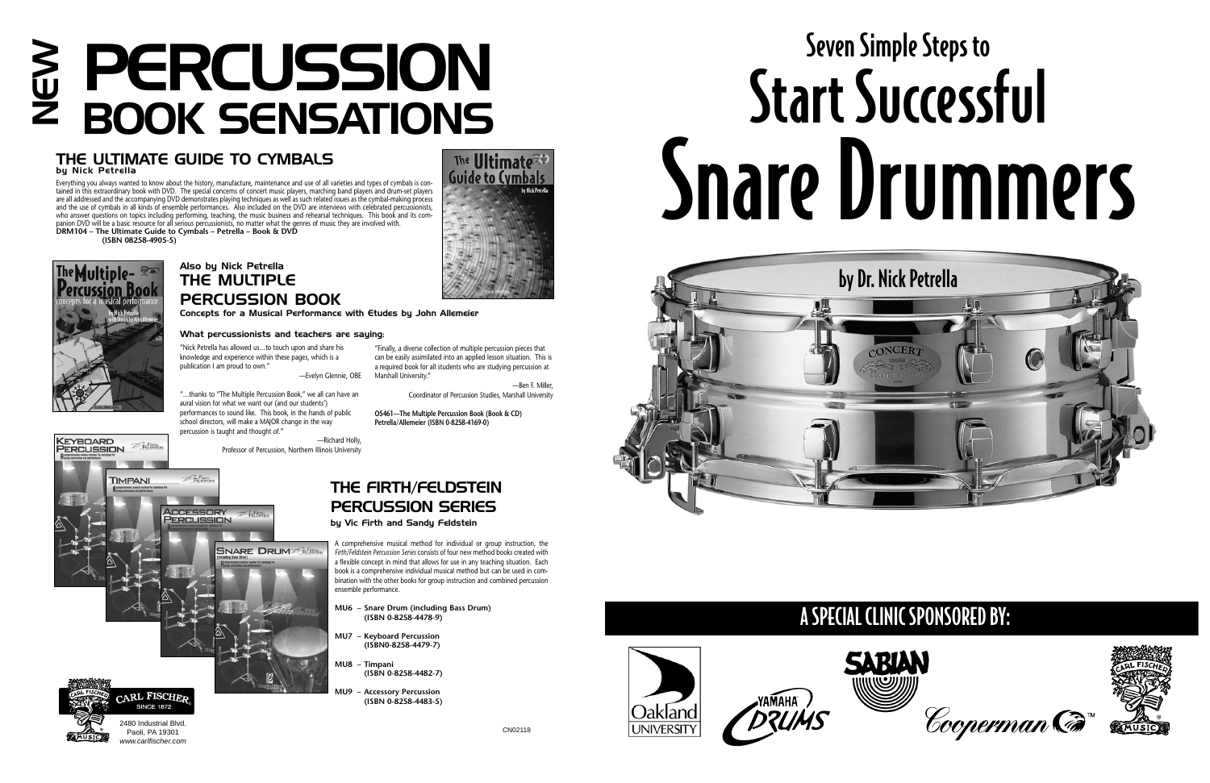A comprehensive musical method for individual or group instruction, the *Firth/Feldstein Percussion Series* consists of four new method books created with a flexible concept in mind that allows for use in any teaching situation. Each book is a comprehensive individual musical method but can be used in combination with the other books for group instruction and combined percussion ensemble performance.

**MU6 – Snare Drum (including Bass Drum) (ISBN 0-8258-4478-9)**

- **MU7 Keyboard Percussion (ISBN0-8258-4479-7)**
- **MU8 Timpani (ISBN 0-8258-4482-7)**
- **Accessory Percussion (ISBN 0-8258-4483-5)**





"Nick Petrella has allowed us…to touch upon and share his knowledge and experience within these pages, which is a publication I am proud to own." —Evelyn Glennie, OBE

"…thanks to "The Multiple Percussion Book," we all can have an aural vision for what we want our (and our students') performances to sound like. This book, in the hands of public school directors, will make a MAJOR change in the way percussion is taught and thought of."

> —Richard Holly, Professor of Percussion, Northern Illinois University



The Ultimate<sup></sup>

"Finally, a diverse collection of multiple percussion pieces that can be easily assimilated into an applied lesson situation. This is a required book for all students who are studying percussion at

# PERCUSSION Seven Simple Steps to<br>
PERCUSSION SENSATIONS Start Successful<br>
PROOK SENSATIONS

Marshall University."

—Ben F. Miller,

Coordinator of Percussion Studies, Marshall University

**O5461—The Multiple Percussion Book (Book & CD) Petrella/Allemeier (ISBN 0-8258-4169-0)**

#### Also by Nick Petrella THE MULTIPLE PERCUSSION BOOK

Concepts for a Musical Performance with Etudes by John Allemeier

#### What percussionists and teachers are saying:

#### THE ULTIMATE GUIDE TO CYMBALS

 $E$ Felistin

**ACCESSORY** PERCUSSION

by Nick Petrella

Everything you always wanted to know about the history, manufacture, maintenance and use of all varieties and types of cymbals is contained in this extraordinary book with DVD. The special concerns of concert music players, marching band players and drum-set players are all addressed and the accompanying DVD demonstrates playing techniques as well as such related issues as the cymbal-making process and the use of cymbals in all kinds of ensemble performances. Also included on the DVD are interviews with celebrated percussionists, who answer questions on topics including performing, teaching, the music business and rehearsal techniques. This book and its companion DVD will be a basic resource for all serious percussionists, no matter what the genres of music they are involved with. **DRM104 – The Ultimate Guide to Cymbals – Petrella – Book & DVD**

**(ISBN 08258-4905-5)**



# Snare Drummers



#### **KEYBOARD**<br>PERCUSSION  $P$ FRING

**TIMPANI** 

#### THE FIRTH/FELDSTEIN PERCUSSION SERIES by Vic Firth and Sandy Feldstein **SNARE DRUM**

### A SPECIAL CLINIC SPONSORED BY:







CN02118



2480 Industrial Blvd. Paoli, PA 19301 www.carlfischer.com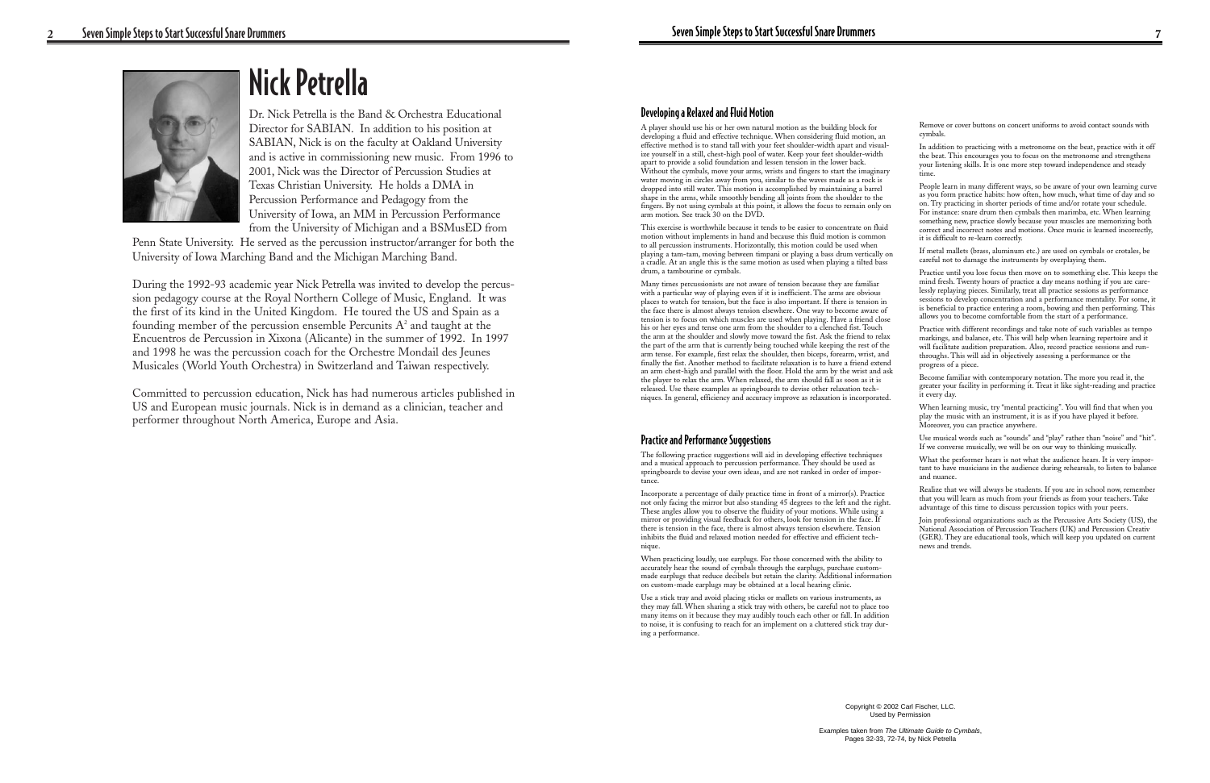## Nick Petrella

Dr. Nick Petrella is the Band & Orchestra Educational Director for SABIAN. In addition to his position at SABIAN, Nick is on the faculty at Oakland University and is active in commissioning new music. From 1996 to 2001, Nick was the Director of Percussion Studies at Texas Christian University. He holds a DMA in Percussion Performance and Pedagogy from the University of Iowa, an MM in Percussion Performance from the University of Michigan and a BSMusED from

Penn State University. He served as the percussion instructor/arranger for both the University of Iowa Marching Band and the Michigan Marching Band.

A player should use his or her own natural motion as the building block for developing a fluid and effective technique. When considering fluid motion, an effective method is to stand tall with your feet shoulder-width apart and visualize yourself in a still, chest-high pool of water. Keep your feet shoulder-width apart to provide a solid foundation and lessen tension in the lower back. Without the cymbals, move your arms, wrists and fingers to start the imaginary water moving in circles away from you, similar to the waves made as a rock is dropped into still water. This motion is accomplished by maintaining a barrel shape in the arms, while smoothly bending all joints from the shoulder to the fingers. By not using cymbals at this point, it allows the focus to remain only on arm motion. See track 30 on the DVD.

During the 1992-93 academic year Nick Petrella was invited to develop the percussion pedagogy course at the Royal Northern College of Music, England. It was the first of its kind in the United Kingdom. He toured the US and Spain as a founding member of the percussion ensemble Percunits  $A<sup>2</sup>$  and taught at the Encuentros de Percussion in Xixona (Alicante) in the summer of 1992. In 1997 and 1998 he was the percussion coach for the Orchestre Mondail des Jeunes Musicales (World Youth Orchestra) in Switzerland and Taiwan respectively.

Committed to percussion education, Nick has had numerous articles published in US and European music journals. Nick is in demand as a clinician, teacher and performer throughout North America, Europe and Asia.



Copyright © 2002 Carl Fischer, LLC. Used by Permission

Pages 32-33, 72-74, by Nick Petrella

#### Developing a Relaxed and Fluid Motion

This exercise is worthwhile because it tends to be easier to concentrate on fluid motion without implements in hand and because this fluid motion is common to all percussion instruments. Horizontally, this motion could be used when playing a tam-tam, moving between timpani or playing a bass drum vertically on a cradle. At an angle this is the same motion as used when playing a tilted bass drum, a tambourine or cymbals.

Many times percussionists are not aware of tension because they are familiar with a particular way of playing even if it is inefficient. The arms are obvious places to watch for tension, but the face is also important. If there is tension in the face there is almost always tension elsewhere. One way to become aware of tension is to focus on which muscles are used when playing. Have a friend close his or her eyes and tense one arm from the shoulder to a clenched fist. Touch the arm at the shoulder and slowly move toward the fist. Ask the friend to relax the part of the arm that is currently being touched while keeping the rest of the arm tense. For example, first relax the shoulder, then biceps, forearm, wrist, and finally the fist. Another method to facilitate relaxation is to have a friend extend an arm chest-high and parallel with the floor. Hold the arm by the wrist and ask the player to relax the arm. When relaxed, the arm should fall as soon as it is released. Use these examples as springboards to devise other relaxation techniques. In general, efficiency and accuracy improve as relaxation is incorporated.

#### Practice and Performance Suggestions

The following practice suggestions will aid in developing effective techniques and a musical approach to percussion performance. They should be used as springboards to devise your own ideas, and are not ranked in order of importance.

Incorporate a percentage of daily practice time in front of a mirror(s). Practice not only facing the mirror but also standing 45 degrees to the left and the right. These angles allow you to observe the fluidity of your motions. While using a mirror or providing visual feedback for others, look for tension in the face. If there is tension in the face, there is almost always tension elsewhere. Tension inhibits the fluid and relaxed motion needed for effective and efficient technique.

When practicing loudly, use earplugs. For those concerned with the ability to accurately hear the sound of cymbals through the earplugs, purchase custommade earplugs that reduce decibels but retain the clarity. Additional information on custom-made earplugs may be obtained at a local hearing clinic.

Use a stick tray and avoid placing sticks or mallets on various instruments, as they may fall. When sharing a stick tray with others, be careful not to place too many items on it because they may audibly touch each other or fall. In addition to noise, it is confusing to reach for an implement on a cluttered stick tray during a performance.

Remove or cover buttons on concert uniforms to avoid contact sounds with cymbals.

In addition to practicing with a metronome on the beat, practice with it off the beat. This encourages you to focus on the metronome and strengthens your listening skills. It is one more step toward independence and steady time.

People learn in many different ways, so be aware of your own learning curve as you form practice habits: how often, how much, what time of day and so on. Try practicing in shorter periods of time and/or rotate your schedule. For instance: snare drum then cymbals then marimba, etc. When learning something new, practice slowly because your muscles are memorizing both correct and incorrect notes and motions. Once music is learned incorrectly, it is difficult to re-learn correctly.

If metal mallets (brass, aluminum etc.) are used on cymbals or crotales, be careful not to damage the instruments by overplaying them.

Practice until you lose focus then move on to something else. This keeps the mind fresh. Twenty hours of practice a day means nothing if you are carelessly replaying pieces. Similarly, treat all practice sessions as performance sessions to develop concentration and a performance mentality. For some, it is beneficial to practice entering a room, bowing and then performing. This allows you to become comfortable from the start of a performance.

Practice with different recordings and take note of such variables as tempo markings, and balance, etc. This will help when learning repertoire and it will facilitate audition preparation. Also, record practice sessions and runthroughs. This will aid in objectively assessing a performance or the progress of a piece.

Become familiar with contemporary notation. The more you read it, the greater your facility in performing it. Treat it like sight-reading and practice it every day.

When learning music, try "mental practicing". You will find that when you play the music with an instrument, it is as if you have played it before. Moreover, you can practice anywhere.

Use musical words such as "sounds" and "play" rather than "noise" and "hit". If we converse musically, we will be on our way to thinking musically.

What the performer hears is not what the audience hears. It is very important to have musicians in the audience during rehearsals, to listen to balance and nuance.

Realize that we will always be students. If you are in school now, remember that you will learn as much from your friends as from your teachers. Take advantage of this time to discuss percussion topics with your peers.

Join professional organizations such as the Percussive Arts Society (US), the National Association of Percussion Teachers (UK) and Percussion Creativ (GER). They are educational tools, which will keep you updated on current news and trends.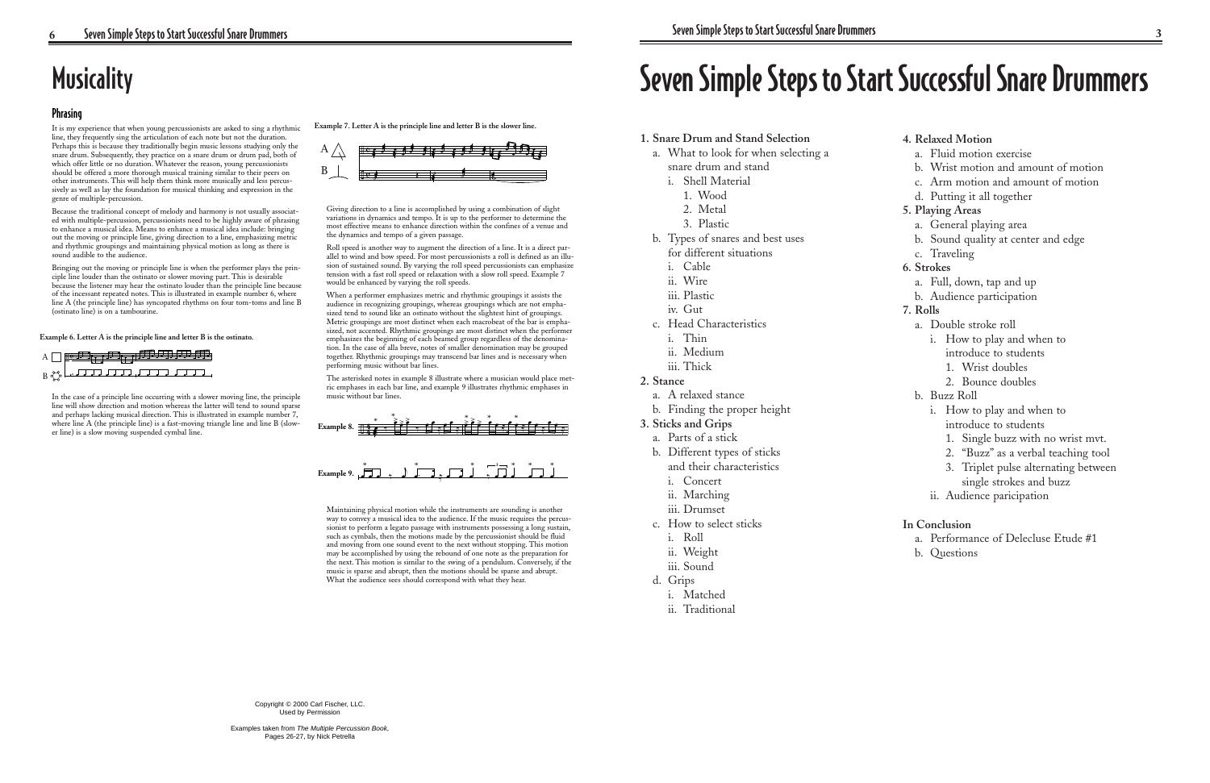# Seven Simple Steps to Start Successful Snare Drummers

- **1. Snare Drum and Stand Selection**
	- a. What to look for when selecting a snare drum and stand
		- i. Shell Material
			- 1. Wood
			- 2. Metal
			- 3. Plastic
	- b. Types of snares and best uses for different situations
		- i. Cable
		- ii. Wire
		- iii. Plastic
		- iv. Gut
	- c. Head Characteristics
		- i. Thin
		- ii. Medium
		- iii. Thick

#### **2. Stance**

- a. A relaxed stance
- b. Finding the proper height

#### **3. Sticks and Grips**

- a. Parts of a stick
- b. Different types of sticks
- and their characteristics
- i. Concert
- ii. Marching
- iii. Drumset
- c. How to select sticks
	- i. Roll
	- ii. Weight
	- iii. Sound
- d. Grips
	- i. Matched
	- ii. Traditional

#### **4. Relaxed Motion**

- a. Fluid motion exercise
- b. Wrist motion and amount of motion
- c. Arm motion and amount of motion
- d. Putting it all together

#### **5. Playing Areas**

- a. General playing area
- b. Sound quality at center and edge
- c. Traveling

#### **6. Strokes**

- a. Full, down, tap and up
- b. Audience participation

#### **7. Rolls**

- a. Double stroke roll
	- i. How to play and when to introduce to students
		- 1. Wrist doubles
		- 2. Bounce doubles
- b. Buzz Roll
	- i. How to play and when to introduce to students
		- 1. Single buzz with no wrist mvt.
		- 2. "Buzz" as a verbal teaching tool
		- 3. Triplet pulse alternating between single strokes and buzz
	- ii. Audience paricipation

#### **In Conclusion**

- a. Performance of Delecluse Etude #1
- b. Questions

## **Musicality**

#### Phrasing

It is my experience that when young percussionists are asked to sing a rhythmic line, they frequently sing the articulation of each note but not the duration. Perhaps this is because they traditionally begin music lessons studying only the snare drum. Subsequently, they practice on a snare drum or drum pad, both of which offer little or no duration. Whatever the reason, young percussionists should be offered a more thorough musical training similar to their peers on other instruments. This will help them think more musically and less percussively as well as lay the foundation for musical thinking and expression in the genre of multiple-percussion.

Because the traditional concept of melody and harmony is not usually associated with multiple-percussion, percussionists need to be highly aware of phrasing to enhance a musical idea. Means to enhance a musical idea include: bringing out the moving or principle line, giving direction to a line, emphasizing metric and rhythmic groupings and maintaining physical motion as long as there is sound audible to the audience.

> Maintaining physical motion while the instruments are sounding is another way to convey a musical idea to the audience. If the music requires the percussionist to perform a legato passage with instruments possessing a long sustain, such as cymbals, then the motions made by the percussionist should be fluid and moving from one sound event to the next without stopping. This motion may be accomplished by using the rebound of one note as the preparation for the next. This motion is similar to the swing of a pendulum. Conversely, if the music is sparse and abrupt, then the motions should be sparse and abrupt. What the audience sees should correspond with what they hear.

Bringing out the moving or principle line is when the performer plays the principle line louder than the ostinato or slower moving part. This is desirable because the listener may hear the ostinato louder than the principle line because of the incessant repeated notes. This is illustrated in example number 6, where line A (the principle line) has syncopated rhythms on four tom-toms and line B (ostinato line) is on a tambourine.

**Example 6. Letter A is the principle line and letter B is the ostinato.**

In the case of a principle line occurring with a slower moving line, the principle line will show direction and motion whereas the latter will tend to sound sparse and perhaps lacking musical direction. This is illustrated in example number 7, where line A (the principle line) is a fast-moving triangle line and line B (slower line) is a slow moving suspended cymbal line.



**Example 7. Letter A is the principle line and letter B is the slower line.**

Giving direction to a line is accomplished by using a combination of slight variations in dynamics and tempo. It is up to the performer to determine the most effective means to enhance direction within the confines of a venue and the dynamics and tempo of a given passage.

Roll speed is another way to augment the direction of a line. It is a direct parallel to wind and bow speed. For most percussionists a roll is defined as an illusion of sustained sound. By varying the roll speed percussionists can emphasize tension with a fast roll speed or relaxation with a slow roll speed. Example 7 would be enhanced by varying the roll speeds.

When a performer emphasizes metric and rhythmic groupings it assists the audience in recognizing groupings, whereas groupings which are not emphasized tend to sound like an ostinato without the slightest hint of groupings. Metric groupings are most distinct when each macrobeat of the bar is emphasized, not accented. Rhythmic groupings are most distinct when the performer emphasizes the beginning of each beamed group regardless of the denomination. In the case of alla breve, notes of smaller denomination may be grouped together. Rhythmic groupings may transcend bar lines and is necessary when performing music without bar lines.

The asterisked notes in example 8 illustrate where a musician would place metric emphases in each bar line, and example 9 illustrates rhythmic emphases in music without bar lines.

Example 9. 
$$
\sqrt{77}
$$
,  $\sqrt{77}$ ,  $\sqrt{77}$ 





Copyright © 2000 Carl Fischer, LLC. Used by Permission

Examples taken from The Multiple Percussion Book, Pages 26-27, by Nick Petrella